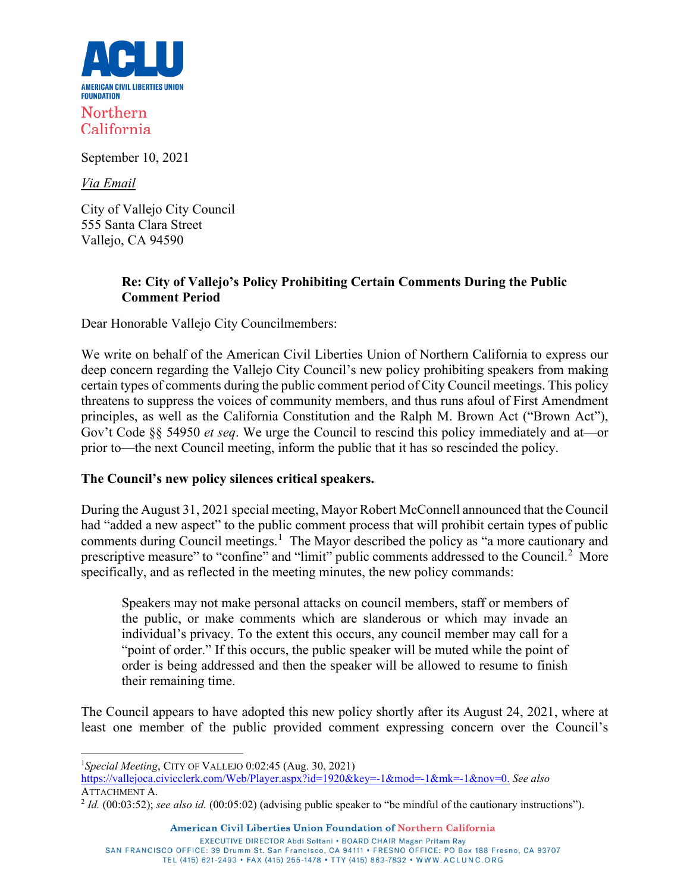

Northern California

September 10, 2021

*Via Email*

City of Vallejo City Council 555 Santa Clara Street Vallejo, CA 94590

## **Re: City of Vallejo's Policy Prohibiting Certain Comments During the Public Comment Period**

Dear Honorable Vallejo City Councilmembers:

We write on behalf of the American Civil Liberties Union of Northern California to express our deep concern regarding the Vallejo City Council's new policy prohibiting speakers from making certain types of comments during the public comment period of City Council meetings. This policy threatens to suppress the voices of community members, and thus runs afoul of First Amendment principles, as well as the California Constitution and the Ralph M. Brown Act ("Brown Act"), Gov't Code §§ 54950 *et seq*. We urge the Council to rescind this policy immediately and at—or prior to—the next Council meeting, inform the public that it has so rescinded the policy.

#### **The Council's new policy silences critical speakers.**

During the August 31, 2021 special meeting, Mayor Robert McConnell announced that the Council had "added a new aspect" to the public comment process that will prohibit certain types of public comments during Council meetings.<sup>[1](#page-0-0)</sup> The Mayor described the policy as "a more cautionary and prescriptive measure" to "confine" and "limit" public comments addressed to the Council.<sup>[2](#page-0-1)</sup> More specifically, and as reflected in the meeting minutes, the new policy commands:

Speakers may not make personal attacks on council members, staff or members of the public, or make comments which are slanderous or which may invade an individual's privacy. To the extent this occurs, any council member may call for a "point of order." If this occurs, the public speaker will be muted while the point of order is being addressed and then the speaker will be allowed to resume to finish their remaining time.

The Council appears to have adopted this new policy shortly after its August 24, 2021, where at least one member of the public provided comment expressing concern over the Council's

[https://vallejoca.civicclerk.com/Web/Player.aspx?id=1920&key=-1&mod=-1&mk=-1&nov=0.](https://vallejoca.civicclerk.com/Web/Player.aspx?id=1920&key=-1&mod=-1&mk=-1&nov=0) *See also*  ATTACHMENT A.

TEL (415) 621-2493 • FAX (415) 255-1478 • TTY (415) 863-7832 • WWW.ACLUNC.ORG

<span id="page-0-0"></span><sup>1</sup> *Special Meeting*, CITY OF VALLEJO 0:02:45 (Aug. 30, 2021)

<span id="page-0-1"></span><sup>2</sup> *Id.* (00:03:52); *see also id.* (00:05:02) (advising public speaker to "be mindful of the cautionary instructions").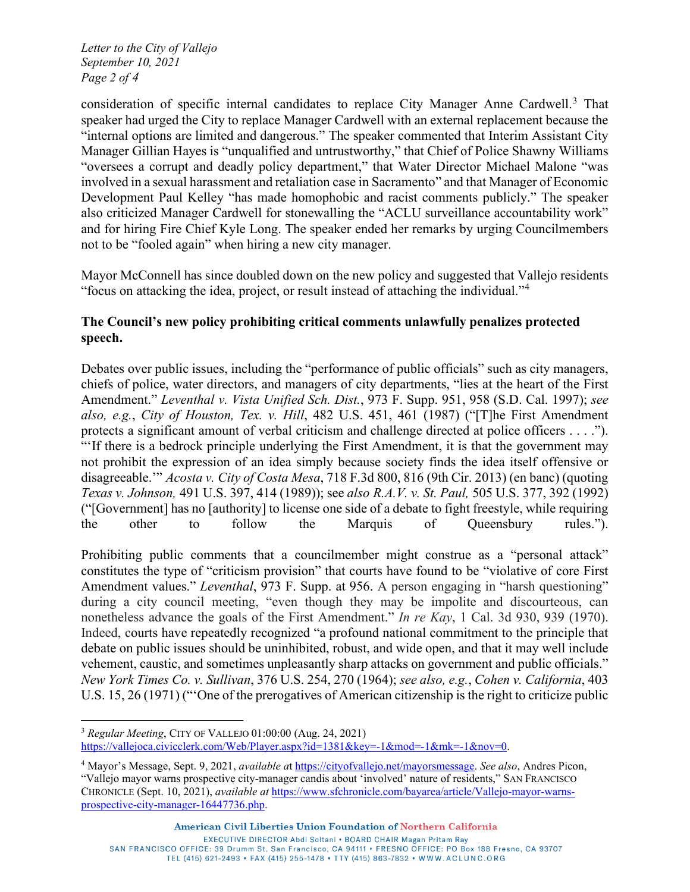*Letter to the City of Vallejo September 10, 2021 Page 2 of 4*

consideration of specific internal candidates to replace City Manager Anne Cardwell.[3](#page-1-0) That speaker had urged the City to replace Manager Cardwell with an external replacement because the "internal options are limited and dangerous." The speaker commented that Interim Assistant City Manager Gillian Hayes is "unqualified and untrustworthy," that Chief of Police Shawny Williams "oversees a corrupt and deadly policy department," that Water Director Michael Malone "was involved in a sexual harassment and retaliation case in Sacramento" and that Manager of Economic Development Paul Kelley "has made homophobic and racist comments publicly." The speaker also criticized Manager Cardwell for stonewalling the "ACLU surveillance accountability work" and for hiring Fire Chief Kyle Long. The speaker ended her remarks by urging Councilmembers not to be "fooled again" when hiring a new city manager.

Mayor McConnell has since doubled down on the new policy and suggested that Vallejo residents "focus on attacking the idea, project, or result instead of attaching the individual."[4](#page-1-1)

## **The Council's new policy prohibiting critical comments unlawfully penalizes protected speech.**

Debates over public issues, including the "performance of public officials" such as city managers, chiefs of police, water directors, and managers of city departments, "lies at the heart of the First Amendment." *Leventhal v. Vista Unified Sch. Dist.*, 973 F. Supp. 951, 958 (S.D. Cal. 1997); *see also, e.g.*, *City of Houston, Tex. v. Hill*, 482 U.S. 451, 461 (1987) ("[T]he First Amendment protects a significant amount of verbal criticism and challenge directed at police officers . . . ."). "'If there is a bedrock principle underlying the First Amendment, it is that the government may not prohibit the expression of an idea simply because society finds the idea itself offensive or disagreeable.'" *Acosta v. City of Costa Mesa*, 718 F.3d 800, 816 (9th Cir. 2013) (en banc) (quoting *Texas v. Johnson,* 491 U.S. 397, 414 (1989)); see *also R.A.V. v. St. Paul,* 505 U.S. 377, 392 (1992) ("[Government] has no [authority] to license one side of a debate to fight freestyle, while requiring the other to follow the Marquis of Queensbury rules.").

Prohibiting public comments that a councilmember might construe as a "personal attack" constitutes the type of "criticism provision" that courts have found to be "violative of core First Amendment values." *Leventhal*, 973 F. Supp. at 956. A person engaging in "harsh questioning" during a city council meeting, "even though they may be impolite and discourteous, can nonetheless advance the goals of the First Amendment." *In re Kay*, 1 Cal. 3d 930, 939 (1970). Indeed, courts have repeatedly recognized "a profound national commitment to the principle that debate on public issues should be uninhibited, robust, and wide open, and that it may well include vehement, caustic, and sometimes unpleasantly sharp attacks on government and public officials." *New York Times Co. v. Sullivan*, 376 U.S. 254, 270 (1964); *see also, e.g.*, *Cohen v. California*, 403 U.S. 15, 26 (1971) ("'One of the prerogatives of American citizenship is the right to criticize public

American Civil Liberties Union Foundation of Northern California

EXECUTIVE DIRECTOR Abdi Soltani . BOARD CHAIR Magan Pritam Ray

SAN FRANCISCO OFFICE: 39 Drumm St. San Francisco, CA 94111 • FRESNO OFFICE: PO Box 188 Fresno, CA 93707 TEL (415) 621-2493 • FAX (415) 255-1478 • TTY (415) 863-7832 • WWW.ACLUNC.ORG

<span id="page-1-0"></span><sup>3</sup> *Regular Meeting*, CITY OF VALLEJO 01:00:00 (Aug. 24, 2021) [https://vallejoca.civicclerk.com/Web/Player.aspx?id=1381&key=-1&mod=-1&mk=-1&nov=0.](https://vallejoca.civicclerk.com/Web/Player.aspx?id=1381&key=-1&mod=-1&mk=-1&nov=0)

<span id="page-1-1"></span><sup>4</sup> Mayor's Message, Sept. 9, 2021, *available a*t [https://cityofvallejo.net/mayorsmessage.](https://cityofvallejo.net/mayorsmessage) *See also*, Andres Picon, "Vallejo mayor warns prospective city-manager candis about 'involved' nature of residents," SAN FRANCISCO CHRONICLE (Sept. 10, 2021), *available at* [https://www.sfchronicle.com/bayarea/article/Vallejo-mayor-warns](https://www.sfchronicle.com/bayarea/article/Vallejo-mayor-warns-prospective-city-manager-16447736.php)[prospective-city-manager-16447736.php.](https://www.sfchronicle.com/bayarea/article/Vallejo-mayor-warns-prospective-city-manager-16447736.php)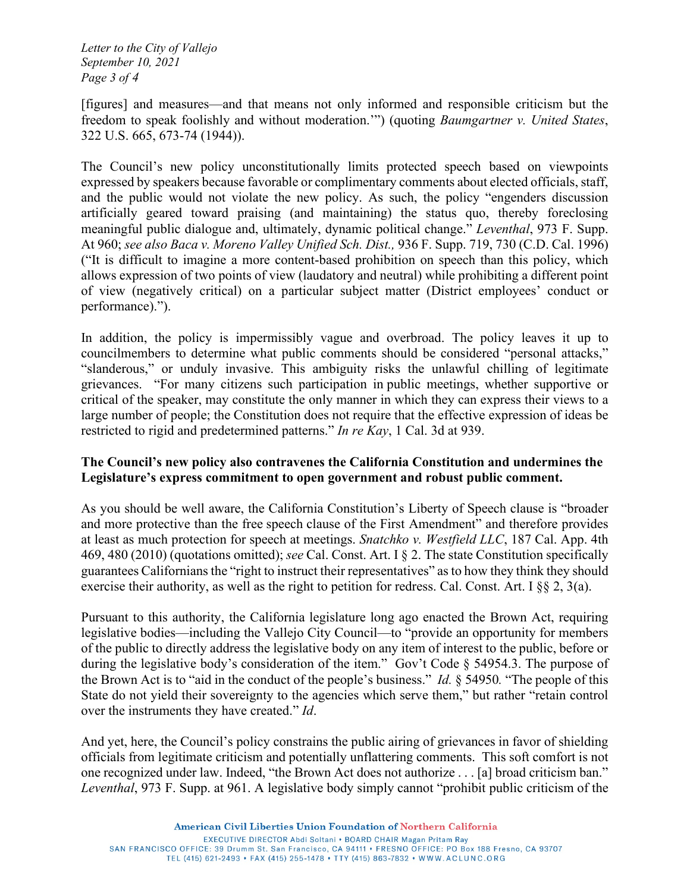*Letter to the City of Vallejo September 10, 2021 Page 3 of 4*

[figures] and measures—and that means not only informed and responsible criticism but the freedom to speak foolishly and without moderation.'") (quoting *Baumgartner v. United States*, 322 U.S. 665, 673-74 (1944)).

The Council's new policy unconstitutionally limits protected speech based on viewpoints expressed by speakers because favorable or complimentary comments about elected officials, staff, and the public would not violate the new policy. As such, the policy "engenders discussion artificially geared toward praising (and maintaining) the status quo, thereby foreclosing meaningful public dialogue and, ultimately, dynamic political change." *Leventhal*, 973 F. Supp. At 960; *see also Baca v. Moreno Valley Unified Sch. Dist.,* 936 F. Supp. 719, 730 (C.D. Cal. 1996) ("It is difficult to imagine a more content-based prohibition on speech than this policy, which allows expression of two points of view (laudatory and neutral) while prohibiting a different point of view (negatively critical) on a particular subject matter (District employees' conduct or performance).").

In addition, the policy is impermissibly vague and overbroad. The policy leaves it up to councilmembers to determine what public comments should be considered "personal attacks," "slanderous," or unduly invasive. This ambiguity risks the unlawful chilling of legitimate grievances. "For many citizens such participation in public meetings, whether supportive or critical of the speaker, may constitute the only manner in which they can express their views to a large number of people; the Constitution does not require that the effective expression of ideas be restricted to rigid and predetermined patterns." *In re Kay*, 1 Cal. 3d at 939.

#### **The Council's new policy also contravenes the California Constitution and undermines the Legislature's express commitment to open government and robust public comment.**

As you should be well aware, the California Constitution's Liberty of Speech clause is "broader and more protective than the free speech clause of the First Amendment" and therefore provides at least as much protection for speech at meetings. *Snatchko v. Westfield LLC*, 187 Cal. App. 4th 469, 480 (2010) (quotations omitted); *see* Cal. Const. Art. I § 2. The state Constitution specifically guarantees Californians the "right to instruct their representatives" as to how they think they should exercise their authority, as well as the right to petition for redress. Cal. Const. Art. I §§ 2, 3(a).

Pursuant to this authority, the California legislature long ago enacted the Brown Act, requiring legislative bodies—including the Vallejo City Council—to "provide an opportunity for members of the public to directly address the legislative body on any item of interest to the public, before or during the legislative body's consideration of the item." Gov't Code § 54954.3. The purpose of the Brown Act is to "aid in the conduct of the people's business." *Id.* § 54950*.* "The people of this State do not yield their sovereignty to the agencies which serve them," but rather "retain control over the instruments they have created." *Id*.

And yet, here, the Council's policy constrains the public airing of grievances in favor of shielding officials from legitimate criticism and potentially unflattering comments. This soft comfort is not one recognized under law. Indeed, "the Brown Act does not authorize . . . [a] broad criticism ban." *Leventhal*, 973 F. Supp. at 961. A legislative body simply cannot "prohibit public criticism of the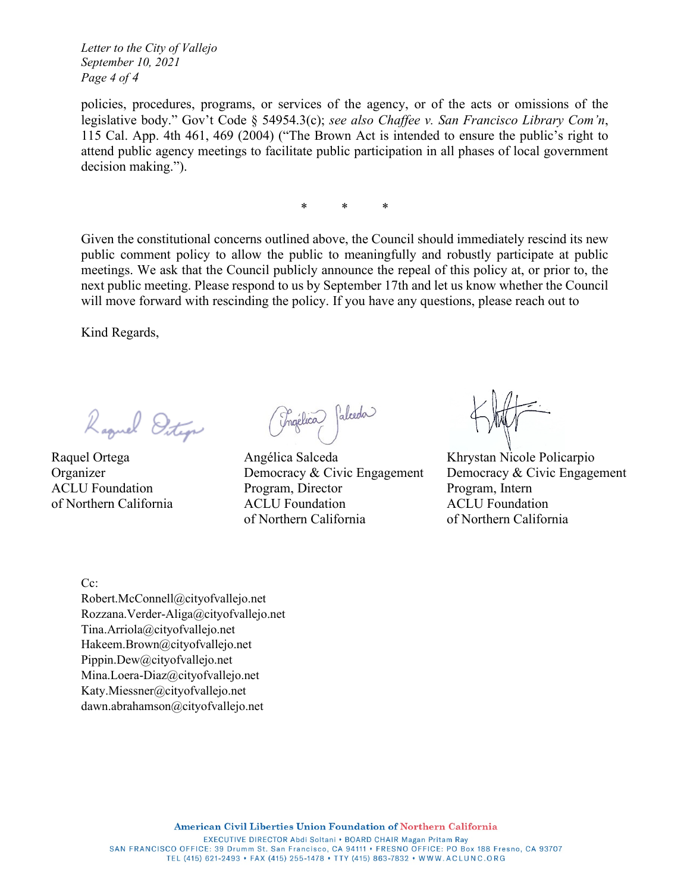*Letter to the City of Vallejo September 10, 2021 Page 4 of 4*

policies, procedures, programs, or services of the agency, or of the acts or omissions of the legislative body." Gov't Code § 54954.3(c); *see also Chaffee v. San Francisco Library Com'n*, 115 Cal. App. 4th 461, 469 (2004) ("The Brown Act is intended to ensure the public's right to attend public agency meetings to facilitate public participation in all phases of local government decision making.").

\* \* \*

Given the constitutional concerns outlined above, the Council should immediately rescind its new public comment policy to allow the public to meaningfully and robustly participate at public meetings. We ask that the Council publicly announce the repeal of this policy at, or prior to, the next public meeting. Please respond to us by September 17th and let us know whether the Council will move forward with rescinding the policy. If you have any questions, please reach out to

Kind Regards,

Raquel Ditige

Raquel Ortega Organizer ACLU Foundation of Northern California

(Ingélica) falceda

Angélica Salceda Democracy & Civic Engagement Program, Director ACLU Foundation of Northern California

Khrystan Nicole Policarpio Democracy & Civic Engagement Program, Intern ACLU Foundation of Northern California

Cc:

[Robert.McConnell@cityofvallejo.net](mailto:Robert.McConnell@cityofvallejo.net) [Rozzana.Verder-Aliga@cityofvallejo.net](mailto:Rozzana.Verder-Aliga@cityofvallejo.net) [Tina.Arriola@cityofvallejo.net](mailto:Tina.Arriola@cityofvallejo.net) [Hakeem.Brown@cityofvallejo.net](mailto:Hakeem.Brown@cityofvallejo.net) [Pippin.Dew@cityofvallejo.net](mailto:Pippin.Dew@cityofvallejo.net) [Mina.Loera-Diaz@cityofvallejo.net](mailto:Mina.Loera-Diaz@cityofvallejo.net) [Katy.Miessner@cityofvallejo.net](mailto:Katy.Miessner@cityofvallejo.net) [dawn.abrahamson@cityofvallejo.net](mailto:dawn.abrahamson@cityofvallejo.net)